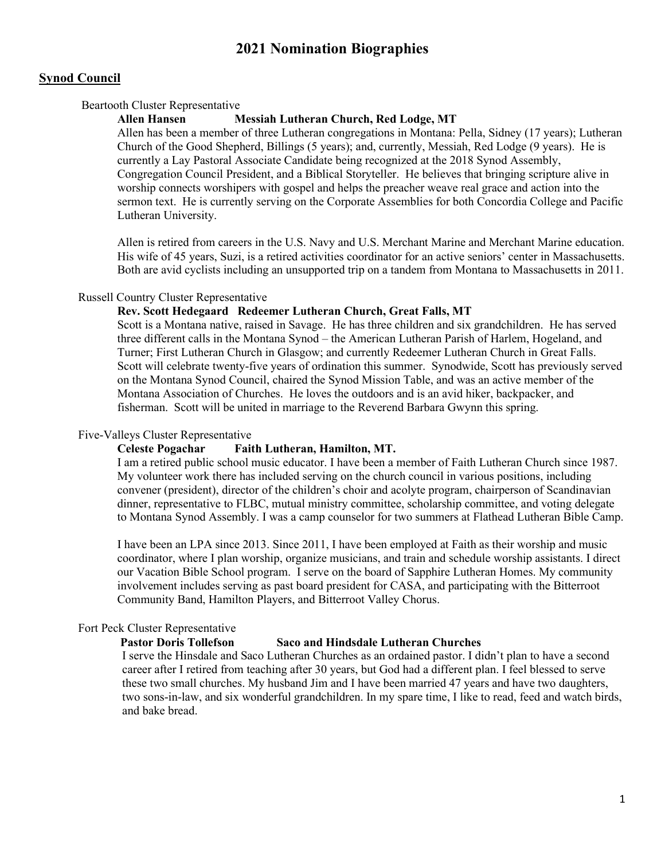# **2021 Nomination Biographies**

## **Synod Council**

#### Beartooth Cluster Representative

## **Allen Hansen Messiah Lutheran Church, Red Lodge, MT**

Allen has been a member of three Lutheran congregations in Montana: Pella, Sidney (17 years); Lutheran Church of the Good Shepherd, Billings (5 years); and, currently, Messiah, Red Lodge (9 years). He is currently a Lay Pastoral Associate Candidate being recognized at the 2018 Synod Assembly, Congregation Council President, and a Biblical Storyteller. He believes that bringing scripture alive in worship connects worshipers with gospel and helps the preacher weave real grace and action into the sermon text. He is currently serving on the Corporate Assemblies for both Concordia College and Pacific Lutheran University.

Allen is retired from careers in the U.S. Navy and U.S. Merchant Marine and Merchant Marine education. His wife of 45 years, Suzi, is a retired activities coordinator for an active seniors' center in Massachusetts. Both are avid cyclists including an unsupported trip on a tandem from Montana to Massachusetts in 2011.

#### Russell Country Cluster Representative

## **Rev. Scott Hedegaard Redeemer Lutheran Church, Great Falls, MT**

Scott is a Montana native, raised in Savage. He has three children and six grandchildren. He has served three different calls in the Montana Synod – the American Lutheran Parish of Harlem, Hogeland, and Turner; First Lutheran Church in Glasgow; and currently Redeemer Lutheran Church in Great Falls. Scott will celebrate twenty-five years of ordination this summer. Synodwide, Scott has previously served on the Montana Synod Council, chaired the Synod Mission Table, and was an active member of the Montana Association of Churches. He loves the outdoors and is an avid hiker, backpacker, and fisherman. Scott will be united in marriage to the Reverend Barbara Gwynn this spring.

#### Five-Valleys Cluster Representative

#### **Celeste Pogachar Faith Lutheran, Hamilton, MT.**

I am a retired public school music educator. I have been a member of Faith Lutheran Church since 1987. My volunteer work there has included serving on the church council in various positions, including convener (president), director of the children's choir and acolyte program, chairperson of Scandinavian dinner, representative to FLBC, mutual ministry committee, scholarship committee, and voting delegate to Montana Synod Assembly. I was a camp counselor for two summers at Flathead Lutheran Bible Camp.

I have been an LPA since 2013. Since 2011, I have been employed at Faith as their worship and music coordinator, where I plan worship, organize musicians, and train and schedule worship assistants. I direct our Vacation Bible School program. I serve on the board of Sapphire Lutheran Homes. My community involvement includes serving as past board president for CASA, and participating with the Bitterroot Community Band, Hamilton Players, and Bitterroot Valley Chorus.

## Fort Peck Cluster Representative

## **Pastor Doris Tollefson Saco and Hindsdale Lutheran Churches**

I serve the Hinsdale and Saco Lutheran Churches as an ordained pastor. I didn't plan to have a second career after I retired from teaching after 30 years, but God had a different plan. I feel blessed to serve these two small churches. My husband Jim and I have been married 47 years and have two daughters, two sons-in-law, and six wonderful grandchildren. In my spare time, I like to read, feed and watch birds, and bake bread.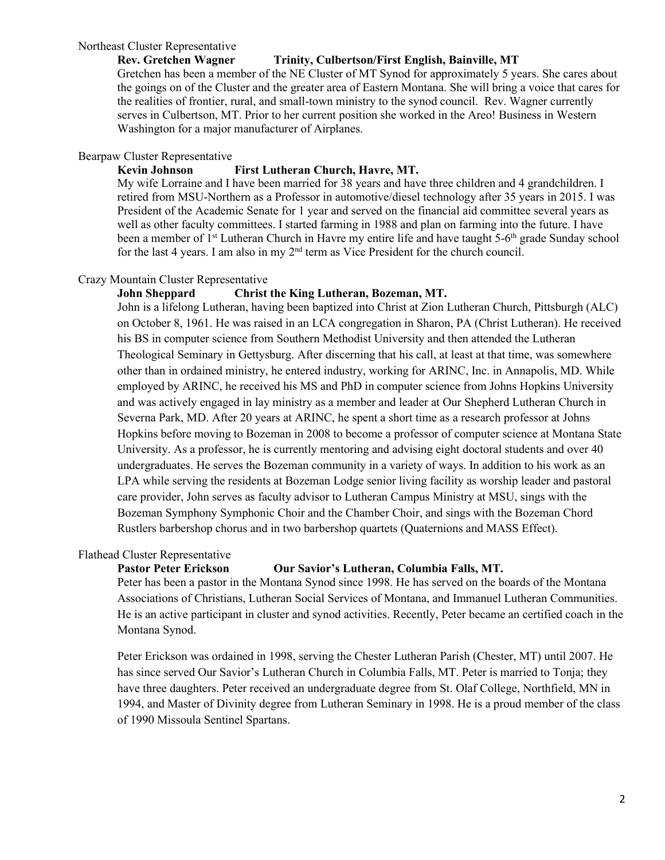## Northeast Cluster Representative

### **Rev. Gretchen Wagner Trinity, Culbertson/First English, Bainville, MT**

Gretchen has been a member of the NE Cluster of MT Synod for approximately 5 years. She cares about the goings on of the Cluster and the greater area of Eastern Montana. She will bring a voice that cares for the realities of frontier, rural, and small-town ministry to the synod council. Rev. Wagner currently serves in Culbertson, MT. Prior to her current position she worked in the Areo! Business in Western Washington for a major manufacturer of Airplanes.

## Bearpaw Cluster Representative

#### **Kevin Johnson First Lutheran Church, Havre, MT.**

My wife Lorraine and I have been married for 38 years and have three children and 4 grandchildren. I retired from MSU-Northern as a Professor in automotive/diesel technology after 35 years in 2015. I was President of the Academic Senate for 1 year and served on the financial aid committee several years as well as other faculty committees. I started farming in 1988 and plan on farming into the future. I have been a member of 1<sup>st</sup> Lutheran Church in Havre my entire life and have taught 5-6<sup>th</sup> grade Sunday school for the last 4 years. I am also in my 2<sup>nd</sup> term as Vice President for the church council.

#### Crazy Mountain Cluster Representative

#### **John Sheppard Christ the King Lutheran, Bozeman, MT.**

John is a lifelong Lutheran, having been baptized into Christ at Zion Lutheran Church, Pittsburgh (ALC) on October 8, 1961. He was raised in an LCA congregation in Sharon, PA (Christ Lutheran). He received his BS in computer science from Southern Methodist University and then attended the Lutheran Theological Seminary in Gettysburg. After discerning that his call, at least at that time, was somewhere other than in ordained ministry, he entered industry, working for ARINC, Inc. in Annapolis, MD. While employed by ARINC, he received his MS and PhD in computer science from Johns Hopkins University and was actively engaged in lay ministry as a member and leader at Our Shepherd Lutheran Church in Severna Park, MD. After 20 years at ARINC, he spent a short time as a research professor at Johns Hopkins before moving to Bozeman in 2008 to become a professor of computer science at Montana State University. As a professor, he is currently mentoring and advising eight doctoral students and over 40 undergraduates. He serves the Bozeman community in a variety of ways. In addition to his work as an LPA while serving the residents at Bozeman Lodge senior living facility as worship leader and pastoral care provider, John serves as faculty advisor to Lutheran Campus Ministry at MSU, sings with the Bozeman Symphony Symphonic Choir and the Chamber Choir, and sings with the Bozeman Chord Rustlers barbershop chorus and in two barbershop quartets (Quaternions and MASS Effect).

## Flathead Cluster Representative

#### **Pastor Peter Erickson Our Savior's Lutheran, Columbia Falls, MT.**

Peter has been a pastor in the Montana Synod since 1998. He has served on the boards of the Montana Associations of Christians, Lutheran Social Services of Montana, and Immanuel Lutheran Communities. He is an active participant in cluster and synod activities. Recently, Peter became an certified coach in the Montana Synod.

Peter Erickson was ordained in 1998, serving the Chester Lutheran Parish (Chester, MT) until 2007. He has since served Our Savior's Lutheran Church in Columbia Falls, MT. Peter is married to Tonja; they have three daughters. Peter received an undergraduate degree from St. Olaf College, Northfield, MN in 1994, and Master of Divinity degree from Lutheran Seminary in 1998. He is a proud member of the class of 1990 Missoula Sentinel Spartans.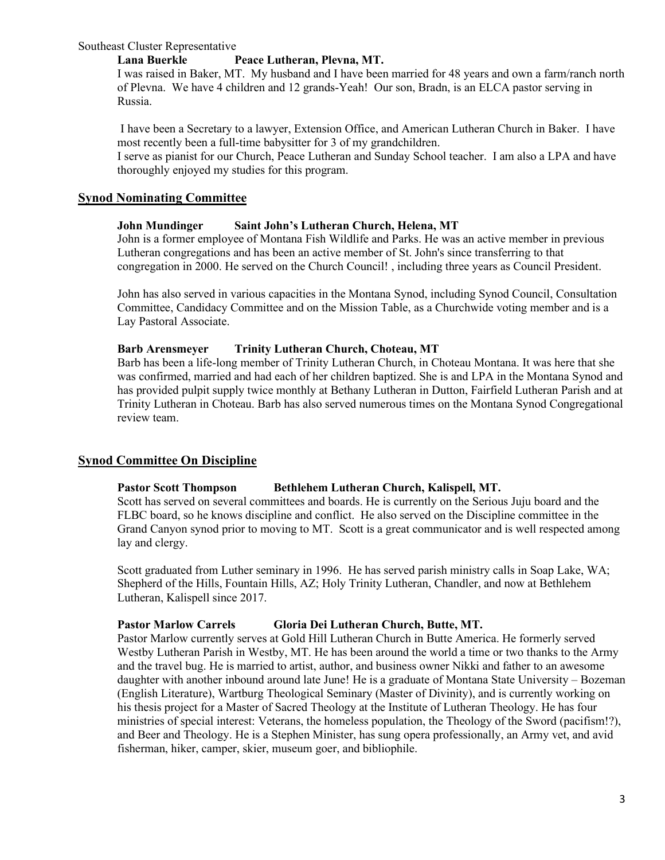### Southeast Cluster Representative

## **Lana Buerkle Peace Lutheran, Plevna, MT.**

I was raised in Baker, MT. My husband and I have been married for 48 years and own a farm/ranch north of Plevna. We have 4 children and 12 grands-Yeah! Our son, Bradn, is an ELCA pastor serving in Russia.

I have been a Secretary to a lawyer, Extension Office, and American Lutheran Church in Baker. I have most recently been a full-time babysitter for 3 of my grandchildren.

I serve as pianist for our Church, Peace Lutheran and Sunday School teacher. I am also a LPA and have thoroughly enjoyed my studies for this program.

## **Synod Nominating Committee**

## **John Mundinger Saint John's Lutheran Church, Helena, MT**

John is a former employee of Montana Fish Wildlife and Parks. He was an active member in previous Lutheran congregations and has been an active member of St. John's since transferring to that congregation in 2000. He served on the Church Council! , including three years as Council President.

John has also served in various capacities in the Montana Synod, including Synod Council, Consultation Committee, Candidacy Committee and on the Mission Table, as a Churchwide voting member and is a Lay Pastoral Associate.

## **Barb Arensmeyer Trinity Lutheran Church, Choteau, MT**

Barb has been a life-long member of Trinity Lutheran Church, in Choteau Montana. It was here that she was confirmed, married and had each of her children baptized. She is and LPA in the Montana Synod and has provided pulpit supply twice monthly at Bethany Lutheran in Dutton, Fairfield Lutheran Parish and at Trinity Lutheran in Choteau. Barb has also served numerous times on the Montana Synod Congregational review team.

## **Synod Committee On Discipline**

## **Pastor Scott Thompson Bethlehem Lutheran Church, Kalispell, MT.**

Scott has served on several committees and boards. He is currently on the Serious Juju board and the FLBC board, so he knows discipline and conflict. He also served on the Discipline committee in the Grand Canyon synod prior to moving to MT. Scott is a great communicator and is well respected among lay and clergy.

Scott graduated from Luther seminary in 1996. He has served parish ministry calls in Soap Lake, WA; Shepherd of the Hills, Fountain Hills, AZ; Holy Trinity Lutheran, Chandler, and now at Bethlehem Lutheran, Kalispell since 2017.

## **Pastor Marlow Carrels Gloria Dei Lutheran Church, Butte, MT.**

Pastor Marlow currently serves at Gold Hill Lutheran Church in Butte America. He formerly served Westby Lutheran Parish in Westby, MT. He has been around the world a time or two thanks to the Army and the travel bug. He is married to artist, author, and business owner Nikki and father to an awesome daughter with another inbound around late June! He is a graduate of Montana State University – Bozeman (English Literature), Wartburg Theological Seminary (Master of Divinity), and is currently working on his thesis project for a Master of Sacred Theology at the Institute of Lutheran Theology. He has four ministries of special interest: Veterans, the homeless population, the Theology of the Sword (pacifism!?), and Beer and Theology. He is a Stephen Minister, has sung opera professionally, an Army vet, and avid fisherman, hiker, camper, skier, museum goer, and bibliophile.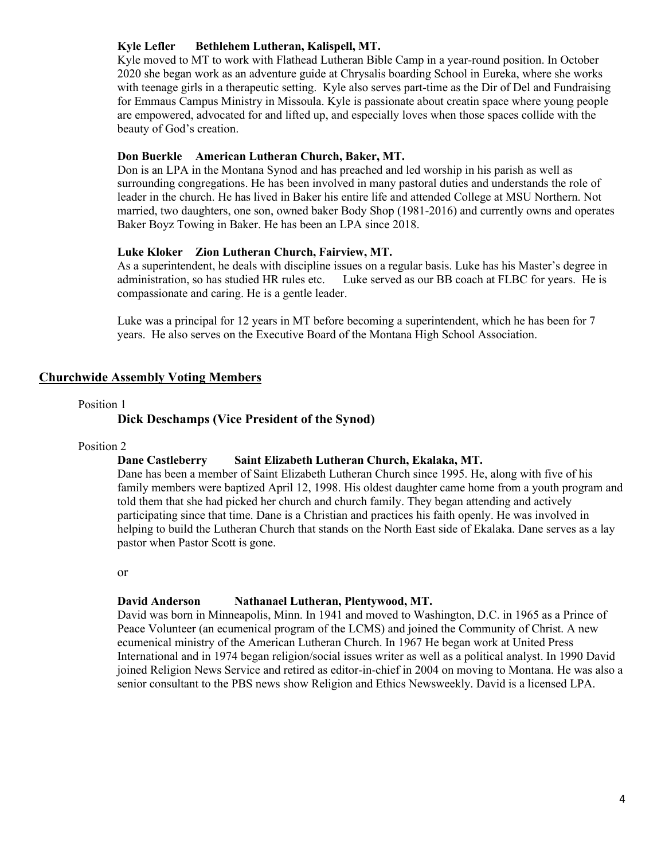## **Kyle Lefler Bethlehem Lutheran, Kalispell, MT.**

Kyle moved to MT to work with Flathead Lutheran Bible Camp in a year-round position. In October 2020 she began work as an adventure guide at Chrysalis boarding School in Eureka, where she works with teenage girls in a therapeutic setting. Kyle also serves part-time as the Dir of Del and Fundraising for Emmaus Campus Ministry in Missoula. Kyle is passionate about creatin space where young people are empowered, advocated for and lifted up, and especially loves when those spaces collide with the beauty of God's creation.

## **Don Buerkle American Lutheran Church, Baker, MT.**

Don is an LPA in the Montana Synod and has preached and led worship in his parish as well as surrounding congregations. He has been involved in many pastoral duties and understands the role of leader in the church. He has lived in Baker his entire life and attended College at MSU Northern. Not married, two daughters, one son, owned baker Body Shop (1981-2016) and currently owns and operates Baker Boyz Towing in Baker. He has been an LPA since 2018.

### **Luke Kloker Zion Lutheran Church, Fairview, MT.**

As a superintendent, he deals with discipline issues on a regular basis. Luke has his Master's degree in administration, so has studied HR rules etc. Luke served as our BB coach at FLBC for years. He is compassionate and caring. He is a gentle leader.

Luke was a principal for 12 years in MT before becoming a superintendent, which he has been for 7 years. He also serves on the Executive Board of the Montana High School Association.

## **Churchwide Assembly Voting Members**

#### Position 1

### **Dick Deschamps (Vice President of the Synod)**

#### Position 2

## **Dane Castleberry Saint Elizabeth Lutheran Church, Ekalaka, MT.**

Dane has been a member of Saint Elizabeth Lutheran Church since 1995. He, along with five of his family members were baptized April 12, 1998. His oldest daughter came home from a youth program and told them that she had picked her church and church family. They began attending and actively participating since that time. Dane is a Christian and practices his faith openly. He was involved in helping to build the Lutheran Church that stands on the North East side of Ekalaka. Dane serves as a lay pastor when Pastor Scott is gone.

or

#### **David Anderson Nathanael Lutheran, Plentywood, MT.**

David was born in Minneapolis, Minn. In 1941 and moved to Washington, D.C. in 1965 as a Prince of Peace Volunteer (an ecumenical program of the LCMS) and joined the Community of Christ. A new ecumenical ministry of the American Lutheran Church. In 1967 He began work at United Press International and in 1974 began religion/social issues writer as well as a political analyst. In 1990 David joined Religion News Service and retired as editor-in-chief in 2004 on moving to Montana. He was also a senior consultant to the PBS news show Religion and Ethics Newsweekly. David is a licensed LPA.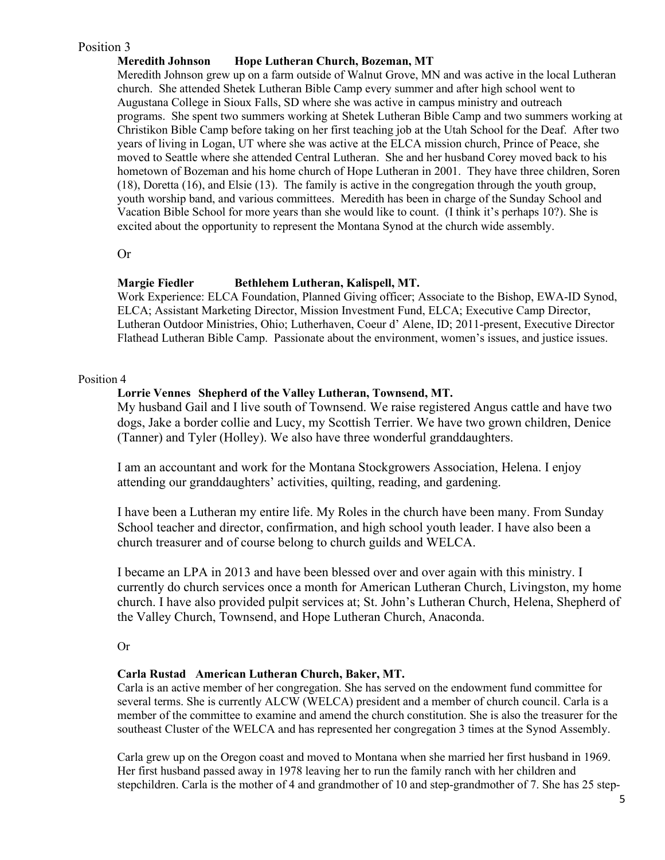## Position 3

## **Meredith Johnson Hope Lutheran Church, Bozeman, MT**

Meredith Johnson grew up on a farm outside of Walnut Grove, MN and was active in the local Lutheran church. She attended Shetek Lutheran Bible Camp every summer and after high school went to Augustana College in Sioux Falls, SD where she was active in campus ministry and outreach programs. She spent two summers working at Shetek Lutheran Bible Camp and two summers working at Christikon Bible Camp before taking on her first teaching job at the Utah School for the Deaf. After two years of living in Logan, UT where she was active at the ELCA mission church, Prince of Peace, she moved to Seattle where she attended Central Lutheran. She and her husband Corey moved back to his hometown of Bozeman and his home church of Hope Lutheran in 2001. They have three children, Soren (18), Doretta (16), and Elsie (13). The family is active in the congregation through the youth group, youth worship band, and various committees. Meredith has been in charge of the Sunday School and Vacation Bible School for more years than she would like to count. (I think it's perhaps 10?). She is excited about the opportunity to represent the Montana Synod at the church wide assembly.

Or

## **Margie Fiedler Bethlehem Lutheran, Kalispell, MT.**

Work Experience: ELCA Foundation, Planned Giving officer; Associate to the Bishop, EWA-ID Synod, ELCA; Assistant Marketing Director, Mission Investment Fund, ELCA; Executive Camp Director, Lutheran Outdoor Ministries, Ohio; Lutherhaven, Coeur d' Alene, ID; 2011-present, Executive Director Flathead Lutheran Bible Camp. Passionate about the environment, women's issues, and justice issues.

## Position 4

## **Lorrie Vennes Shepherd of the Valley Lutheran, Townsend, MT.**

My husband Gail and I live south of Townsend. We raise registered Angus cattle and have two dogs, Jake a border collie and Lucy, my Scottish Terrier. We have two grown children, Denice (Tanner) and Tyler (Holley). We also have three wonderful granddaughters.

I am an accountant and work for the Montana Stockgrowers Association, Helena. I enjoy attending our granddaughters' activities, quilting, reading, and gardening.

I have been a Lutheran my entire life. My Roles in the church have been many. From Sunday School teacher and director, confirmation, and high school youth leader. I have also been a church treasurer and of course belong to church guilds and WELCA.

I became an LPA in 2013 and have been blessed over and over again with this ministry. I currently do church services once a month for American Lutheran Church, Livingston, my home church. I have also provided pulpit services at; St. John's Lutheran Church, Helena, Shepherd of the Valley Church, Townsend, and Hope Lutheran Church, Anaconda.

Or

## **Carla Rustad American Lutheran Church, Baker, MT.**

Carla is an active member of her congregation. She has served on the endowment fund committee for several terms. She is currently ALCW (WELCA) president and a member of church council. Carla is a member of the committee to examine and amend the church constitution. She is also the treasurer for the southeast Cluster of the WELCA and has represented her congregation 3 times at the Synod Assembly.

Carla grew up on the Oregon coast and moved to Montana when she married her first husband in 1969. Her first husband passed away in 1978 leaving her to run the family ranch with her children and stepchildren. Carla is the mother of 4 and grandmother of 10 and step-grandmother of 7. She has 25 step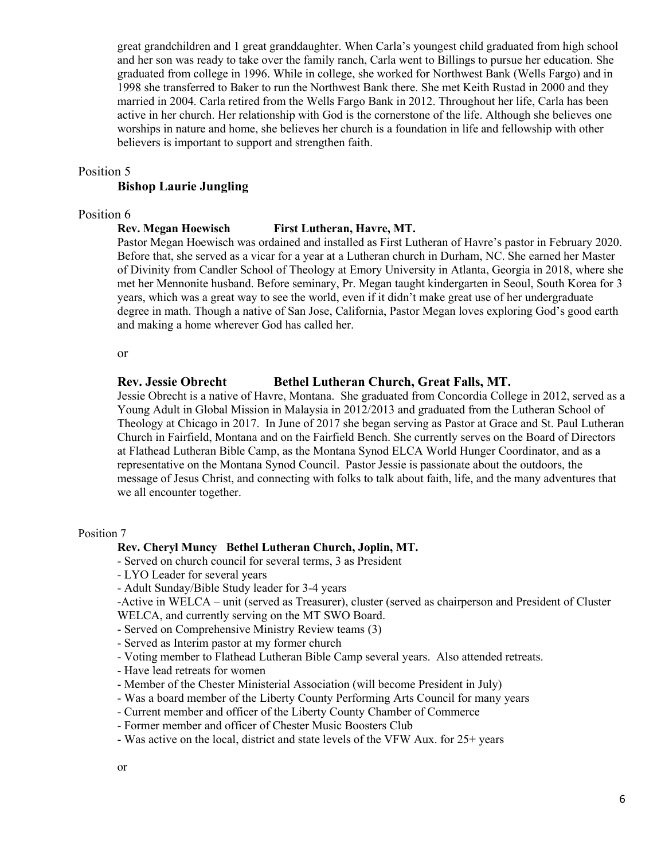great grandchildren and 1 great granddaughter. When Carla's youngest child graduated from high school and her son was ready to take over the family ranch, Carla went to Billings to pursue her education. She graduated from college in 1996. While in college, she worked for Northwest Bank (Wells Fargo) and in 1998 she transferred to Baker to run the Northwest Bank there. She met Keith Rustad in 2000 and they married in 2004. Carla retired from the Wells Fargo Bank in 2012. Throughout her life, Carla has been active in her church. Her relationship with God is the cornerstone of the life. Although she believes one worships in nature and home, she believes her church is a foundation in life and fellowship with other believers is important to support and strengthen faith.

#### Position 5

## **Bishop Laurie Jungling**

## Position 6

## **Rev. Megan Hoewisch First Lutheran, Havre, MT.**

Pastor Megan Hoewisch was ordained and installed as First Lutheran of Havre's pastor in February 2020. Before that, she served as a vicar for a year at a Lutheran church in Durham, NC. She earned her Master of Divinity from Candler School of Theology at Emory University in Atlanta, Georgia in 2018, where she met her Mennonite husband. Before seminary, Pr. Megan taught kindergarten in Seoul, South Korea for 3 years, which was a great way to see the world, even if it didn't make great use of her undergraduate degree in math. Though a native of San Jose, California, Pastor Megan loves exploring God's good earth and making a home wherever God has called her.

or

## **Rev. Jessie Obrecht Bethel Lutheran Church, Great Falls, MT.**

Jessie Obrecht is a native of Havre, Montana. She graduated from Concordia College in 2012, served as a Young Adult in Global Mission in Malaysia in 2012/2013 and graduated from the Lutheran School of Theology at Chicago in 2017. In June of 2017 she began serving as Pastor at Grace and St. Paul Lutheran Church in Fairfield, Montana and on the Fairfield Bench. She currently serves on the Board of Directors at Flathead Lutheran Bible Camp, as the Montana Synod ELCA World Hunger Coordinator, and as a representative on the Montana Synod Council. Pastor Jessie is passionate about the outdoors, the message of Jesus Christ, and connecting with folks to talk about faith, life, and the many adventures that we all encounter together.

### Position 7

#### **Rev. Cheryl Muncy Bethel Lutheran Church, Joplin, MT.**

- Served on church council for several terms, 3 as President
- LYO Leader for several years
- Adult Sunday/Bible Study leader for 3-4 years

-Active in WELCA – unit (served as Treasurer), cluster (served as chairperson and President of Cluster WELCA, and currently serving on the MT SWO Board.

- Served on Comprehensive Ministry Review teams (3)
- Served as Interim pastor at my former church
- Voting member to Flathead Lutheran Bible Camp several years. Also attended retreats.
- Have lead retreats for women
- Member of the Chester Ministerial Association (will become President in July)
- Was a board member of the Liberty County Performing Arts Council for many years
- Current member and officer of the Liberty County Chamber of Commerce
- Former member and officer of Chester Music Boosters Club
- Was active on the local, district and state levels of the VFW Aux. for 25+ years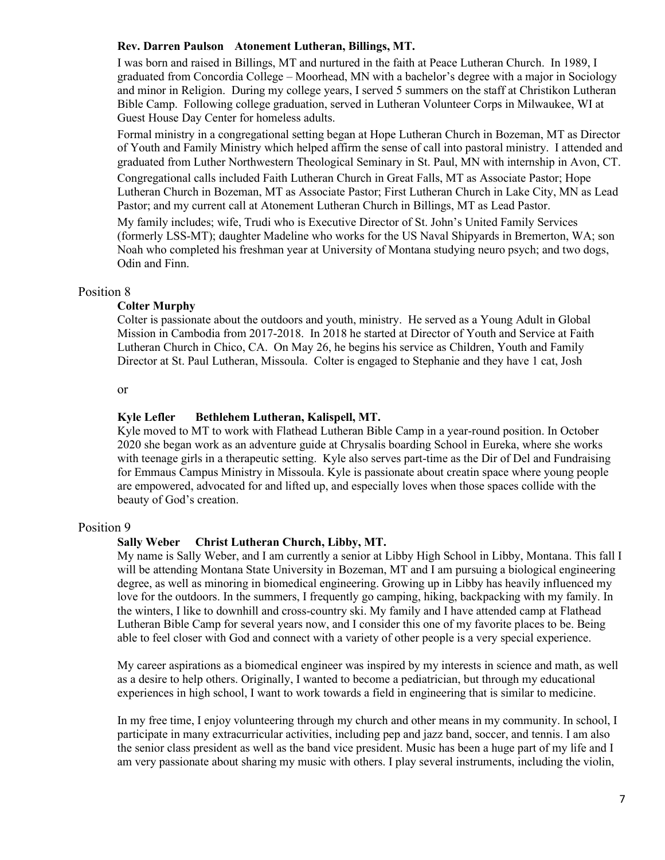### **Rev. Darren Paulson Atonement Lutheran, Billings, MT.**

I was born and raised in Billings, MT and nurtured in the faith at Peace Lutheran Church. In 1989, I graduated from Concordia College – Moorhead, MN with a bachelor's degree with a major in Sociology and minor in Religion. During my college years, I served 5 summers on the staff at Christikon Lutheran Bible Camp. Following college graduation, served in Lutheran Volunteer Corps in Milwaukee, WI at Guest House Day Center for homeless adults.

Formal ministry in a congregational setting began at Hope Lutheran Church in Bozeman, MT as Director of Youth and Family Ministry which helped affirm the sense of call into pastoral ministry. I attended and graduated from Luther Northwestern Theological Seminary in St. Paul, MN with internship in Avon, CT.

Congregational calls included Faith Lutheran Church in Great Falls, MT as Associate Pastor; Hope Lutheran Church in Bozeman, MT as Associate Pastor; First Lutheran Church in Lake City, MN as Lead Pastor; and my current call at Atonement Lutheran Church in Billings, MT as Lead Pastor.

My family includes; wife, Trudi who is Executive Director of St. John's United Family Services (formerly LSS-MT); daughter Madeline who works for the US Naval Shipyards in Bremerton, WA; son Noah who completed his freshman year at University of Montana studying neuro psych; and two dogs, Odin and Finn.

### Position 8

### **Colter Murphy**

Colter is passionate about the outdoors and youth, ministry. He served as a Young Adult in Global Mission in Cambodia from 2017-2018. In 2018 he started at Director of Youth and Service at Faith Lutheran Church in Chico, CA. On May 26, he begins his service as Children, Youth and Family Director at St. Paul Lutheran, Missoula. Colter is engaged to Stephanie and they have 1 cat, Josh

or

#### **Kyle Lefler Bethlehem Lutheran, Kalispell, MT.**

Kyle moved to MT to work with Flathead Lutheran Bible Camp in a year-round position. In October 2020 she began work as an adventure guide at Chrysalis boarding School in Eureka, where she works with teenage girls in a therapeutic setting. Kyle also serves part-time as the Dir of Del and Fundraising for Emmaus Campus Ministry in Missoula. Kyle is passionate about creatin space where young people are empowered, advocated for and lifted up, and especially loves when those spaces collide with the beauty of God's creation.

#### Position 9

#### **Sally Weber Christ Lutheran Church, Libby, MT.**

My name is Sally Weber, and I am currently a senior at Libby High School in Libby, Montana. This fall I will be attending Montana State University in Bozeman, MT and I am pursuing a biological engineering degree, as well as minoring in biomedical engineering. Growing up in Libby has heavily influenced my love for the outdoors. In the summers, I frequently go camping, hiking, backpacking with my family. In the winters, I like to downhill and cross-country ski. My family and I have attended camp at Flathead Lutheran Bible Camp for several years now, and I consider this one of my favorite places to be. Being able to feel closer with God and connect with a variety of other people is a very special experience.

My career aspirations as a biomedical engineer was inspired by my interests in science and math, as well as a desire to help others. Originally, I wanted to become a pediatrician, but through my educational experiences in high school, I want to work towards a field in engineering that is similar to medicine.

In my free time, I enjoy volunteering through my church and other means in my community. In school, I participate in many extracurricular activities, including pep and jazz band, soccer, and tennis. I am also the senior class president as well as the band vice president. Music has been a huge part of my life and I am very passionate about sharing my music with others. I play several instruments, including the violin,